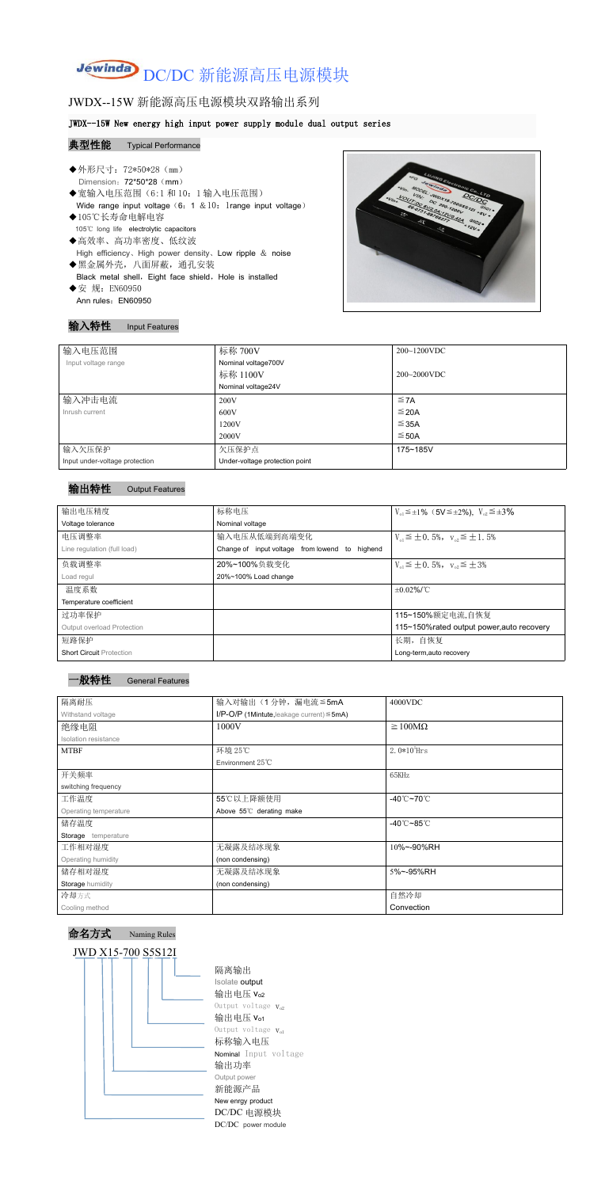# Jewinda DC/DC 新能源高压电源模块

## JWDX--15W 新能源高压电源模块双路输出系列

#### JWDX--15W New energy high input power supply module dual output series

#### 典型性能 Typical Performance

- ◆外形尺寸: 72\*50\*28 (mm) Dimension: 72\*50\*28 (mm) ◆宽输入电压范围(6:1和 10: 1 输入电压范围) Wide range input voltage  $(6: 1 \& 10:1$ range input voltage) ◆105℃长寿命电解电容 105℃ long life electrolytic capacitors ◆高效率、高功率密度、低纹波 High efficiency、High power density、Low ripple & noise ◆黑金属外壳,八面屏蔽,通孔安装 Black metal shell, Eight face shield, Hole is installed
- ◆安 规: EN60950 Ann rules: EN60950



#### 输入特性 Input Features

| 输入电压范围                         | 标称 700V                        | $200 - 1200$ VDC |
|--------------------------------|--------------------------------|------------------|
| Input voltage range            | Nominal voltage700V            |                  |
|                                | 标称 1100V                       | $200 - 2000$ VDC |
|                                | Nominal voltage24V             |                  |
| 输入冲击电流                         | 200V                           | $\leq$ 7A        |
| Inrush current                 | 600V                           | $\leq$ 20A       |
|                                | 1200V                          | $\leq$ 35A       |
|                                | 2000V                          | $≤$ 50A          |
| 输入欠压保护                         | 欠压保护点                          | 175~185V         |
| Input under-voltage protection | Under-voltage protection point |                  |

#### 输出特性 Output Features



命名方式 Naming Rules

JWD X15-700 S5S12I

隔离输出 Isolate output 输出电压 vo2 Output voltage  $V_{o2}$ 输出电压  $V_{01}$ Output voltage  $V_{o1}$ 标称输入电压 Nominal Input voltage 输出功率 Output power 新能源产品 New enrgy product DC/DC 电源模块 DC/DC power module

| 输出电压精度                            | 标称电压                                           | $V_{01} \le \pm 1\%$ (5V $\le \pm 2\%$ ), $V_{02} \le \pm 3\%$ |
|-----------------------------------|------------------------------------------------|----------------------------------------------------------------|
| Voltage tolerance                 | Nominal voltage                                |                                                                |
| 电压调整率                             | 输入电压从低端到高端变化                                   | $V_{01} \leq \pm 0.5\%$ , $V_{02} \leq \pm 1.5\%$              |
| Line regulation (full load)       | Change of input voltage from lowend to highend |                                                                |
| 负载调整率                             | 20%~100%负载变化                                   | $V_{01} \leq \pm 0.5\%$ , $V_{02} \leq \pm 3\%$                |
| Load regul                        | 20%~100% Load change                           |                                                                |
| 温度系数                              |                                                | $\pm 0.02\%$ /°C                                               |
| Temperature coefficient           |                                                |                                                                |
| 过功率保护                             |                                                | 115~150%额定电流,自恢复                                               |
| <b>Output overload Protection</b> |                                                | 115~150%rated output power, auto recovery                      |
| 短路保护                              |                                                | 长期, 自恢复                                                        |
| <b>Short Circuit Protection</b>   |                                                | Long-term, auto recovery                                       |

| 隔离耐压                  | 输入对输出(1分钟,漏电流≦5mA                                  | 4000VDC                         |  |
|-----------------------|----------------------------------------------------|---------------------------------|--|
| Withstand voltage     | $I/P$ -O/P (1Mintute, leakage current) $\leq$ 5mA) |                                 |  |
| 绝缘电阻                  | 1000V                                              | $\geq 100M\Omega$               |  |
| Isolation resistance  |                                                    |                                 |  |
| <b>MTBF</b>           | 环境 25℃                                             | $2.0*105$ Hrs                   |  |
|                       | Environment 25℃                                    |                                 |  |
| 开关频率                  |                                                    | 65KHz                           |  |
| switching frequency   |                                                    |                                 |  |
| 工作温度                  | 55℃以上降额使用                                          | $-40^{\circ}$ C $-70^{\circ}$ C |  |
| Operating temperature | Above 55°C derating make                           |                                 |  |
| 储存温度                  |                                                    | $-40^{\circ}$ C $-85^{\circ}$ C |  |
| Storage temperature   |                                                    |                                 |  |
| 工作相对湿度                | 无凝露及结冰现象                                           | 10%~-90%RH                      |  |
| Operating humidity    | (non condensing)                                   |                                 |  |
| 储存相对湿度                | 无凝露及结冰现象                                           | 5%~-95%RH                       |  |
| Storage humidity      | (non condensing)                                   |                                 |  |
| 冷却方式                  |                                                    | 自然冷却                            |  |
| Cooling method        |                                                    | Convection                      |  |